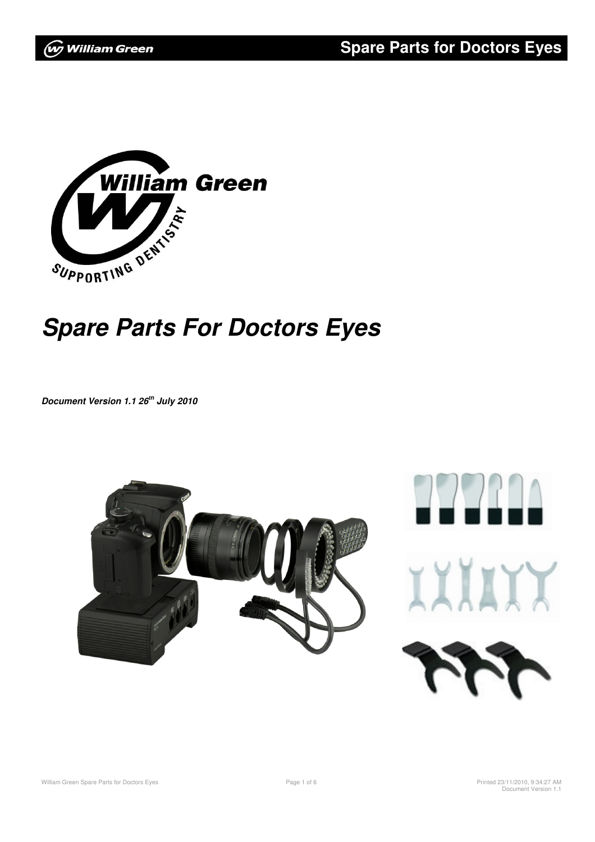

# **Spare Parts For Doctors Eyes**

**Document Version 1.1 26th July 2010** 

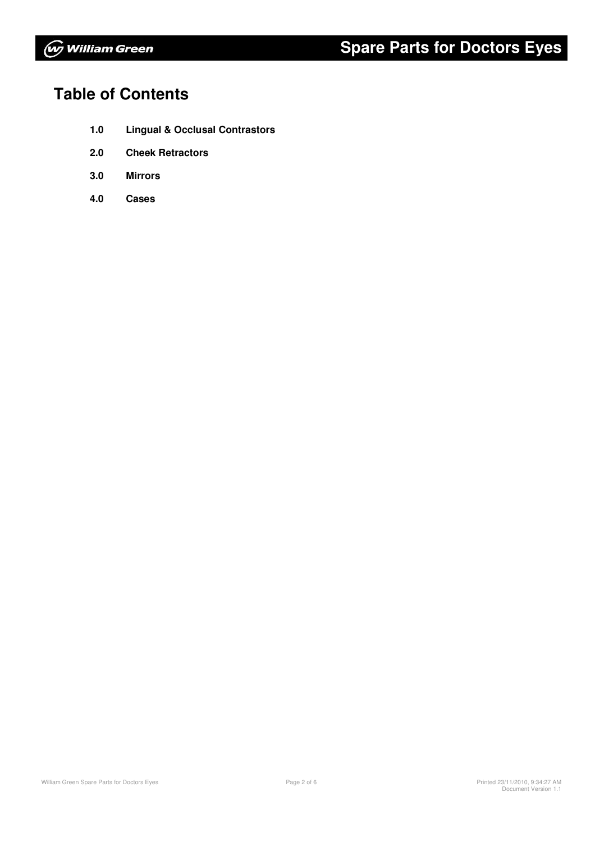

## **Table of Contents**

- **1.0 Lingual & Occlusal Contrastors**
- **2.0 Cheek Retractors**
- **3.0 Mirrors**
- **4.0 Cases**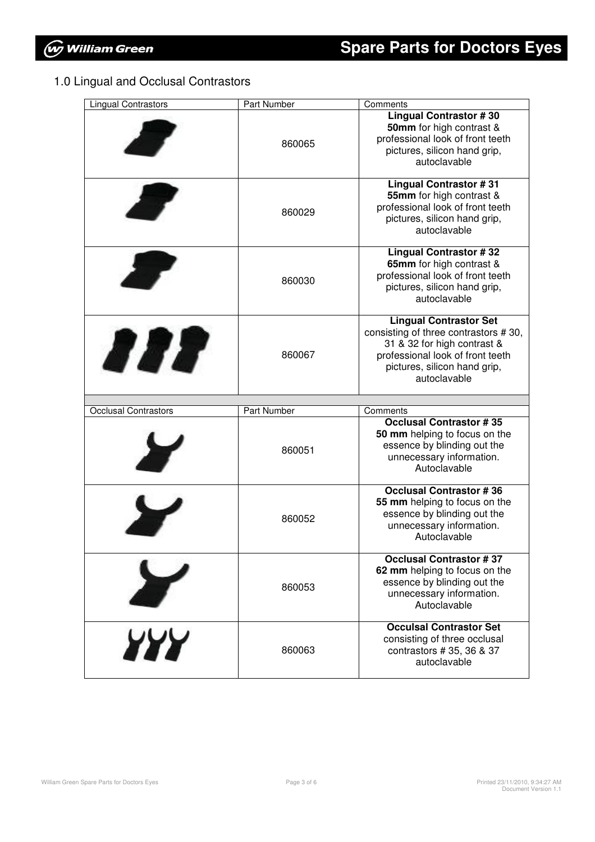### 1.0 Lingual and Occlusal Contrastors

| <b>Lingual Contrastors</b>  | <b>Part Number</b>    | Comments                                                                                                                                                                                 |
|-----------------------------|-----------------------|------------------------------------------------------------------------------------------------------------------------------------------------------------------------------------------|
|                             | 860065                | <b>Lingual Contrastor #30</b><br>50mm for high contrast &<br>professional look of front teeth<br>pictures, silicon hand grip,<br>autoclavable                                            |
|                             | 860029                | <b>Lingual Contrastor #31</b><br><b>55mm</b> for high contrast &<br>professional look of front teeth<br>pictures, silicon hand grip,<br>autoclavable                                     |
|                             | 860030                | <b>Lingual Contrastor #32</b><br><b>65mm</b> for high contrast &<br>professional look of front teeth<br>pictures, silicon hand grip,<br>autoclavable                                     |
| 111                         | 860067                | <b>Lingual Contrastor Set</b><br>consisting of three contrastors #30,<br>31 & 32 for high contrast &<br>professional look of front teeth<br>pictures, silicon hand grip,<br>autoclavable |
|                             |                       |                                                                                                                                                                                          |
|                             |                       |                                                                                                                                                                                          |
| <b>Occlusal Contrastors</b> | Part Number<br>860051 | Comments<br><b>Occlusal Contrastor #35</b><br>50 mm helping to focus on the<br>essence by blinding out the<br>unnecessary information.<br>Autoclavable                                   |
|                             | 860052                | <b>Occlusal Contrastor #36</b><br>55 mm helping to focus on the<br>essence by blinding out the<br>unnecessary information.<br>Autoclavable                                               |
|                             | 860053                | <b>Occlusal Contrastor #37</b><br>62 mm helping to focus on the<br>essence by blinding out the<br>unnecessary information.<br>Autoclavable                                               |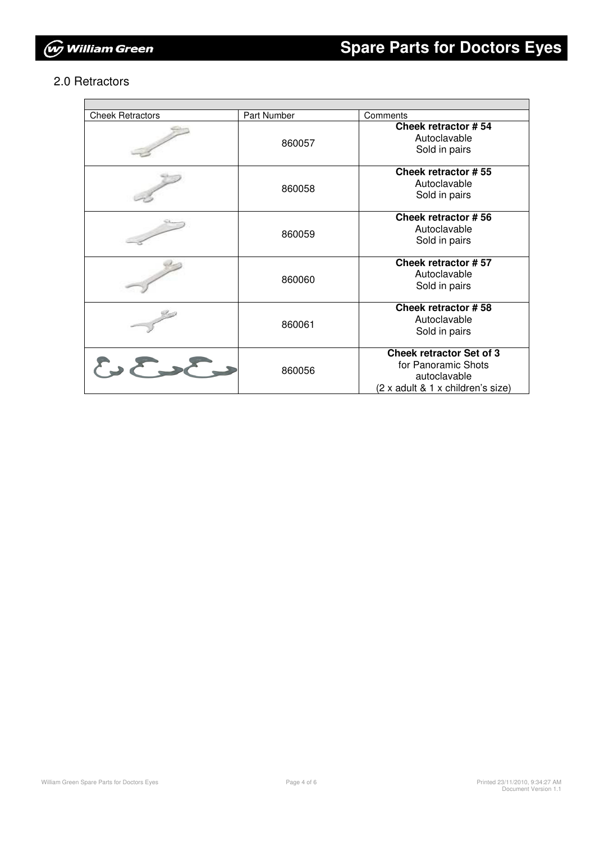

#### 2.0 Retractors

| <b>Cheek Retractors</b> | Part Number | Comments                                                                                                    |  |  |
|-------------------------|-------------|-------------------------------------------------------------------------------------------------------------|--|--|
|                         | 860057      | Cheek retractor #54<br>Autoclavable<br>Sold in pairs                                                        |  |  |
|                         | 860058      | Cheek retractor #55<br>Autoclavable<br>Sold in pairs                                                        |  |  |
|                         | 860059      | Cheek retractor #56<br>Autoclavable<br>Sold in pairs                                                        |  |  |
|                         | 860060      | Cheek retractor #57<br>Autoclavable<br>Sold in pairs                                                        |  |  |
|                         | 860061      | Cheek retractor #58<br>Autoclavable<br>Sold in pairs                                                        |  |  |
| $\sum_{i=1}^{n}$        | 860056      | <b>Cheek retractor Set of 3</b><br>for Panoramic Shots<br>autoclavable<br>(2 x adult & 1 x children's size) |  |  |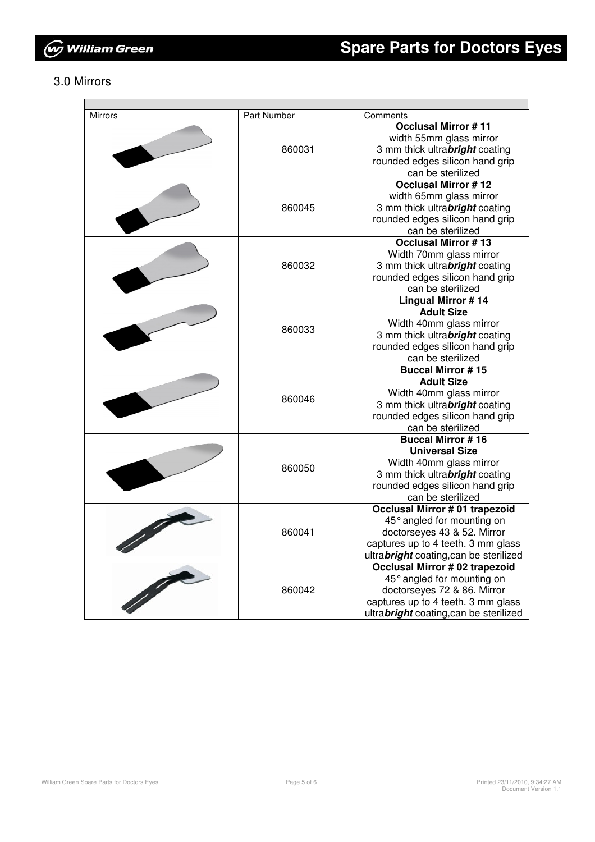$\overline{\phantom{0}}$ 

wy William Green

#### 3.0 Mirrors

| Mirrors | Part Number | Comments                                                                                                                                                                          |
|---------|-------------|-----------------------------------------------------------------------------------------------------------------------------------------------------------------------------------|
|         | 860031      | <b>Occlusal Mirror #11</b><br>width 55mm glass mirror<br>3 mm thick ultrabright coating<br>rounded edges silicon hand grip<br>can be sterilized                                   |
|         | 860045      | <b>Occlusal Mirror #12</b><br>width 65mm glass mirror<br>3 mm thick ultrabright coating<br>rounded edges silicon hand grip<br>can be sterilized                                   |
|         | 860032      | <b>Occlusal Mirror #13</b><br>Width 70mm glass mirror<br>3 mm thick ultrabright coating<br>rounded edges silicon hand grip<br>can be sterilized                                   |
|         | 860033      | <b>Lingual Mirror #14</b><br><b>Adult Size</b><br>Width 40mm glass mirror<br>3 mm thick ultrabright coating<br>rounded edges silicon hand grip<br>can be sterilized               |
|         | 860046      | <b>Buccal Mirror #15</b><br><b>Adult Size</b><br>Width 40mm glass mirror<br>3 mm thick ultrabright coating<br>rounded edges silicon hand grip<br>can be sterilized                |
|         | 860050      | <b>Buccal Mirror #16</b><br><b>Universal Size</b><br>Width 40mm glass mirror<br>3 mm thick ultrabright coating<br>rounded edges silicon hand grip<br>can be sterilized            |
|         | 860041      | <b>Occlusal Mirror #01 trapezoid</b><br>45° angled for mounting on<br>doctorseyes 43 & 52. Mirror<br>captures up to 4 teeth. 3 mm glass<br>ultrabright coating, can be sterilized |
|         | 860042      | Occlusal Mirror # 02 trapezoid<br>45° angled for mounting on<br>doctorseyes 72 & 86. Mirror<br>captures up to 4 teeth. 3 mm glass<br>ultrabright coating, can be sterilized       |